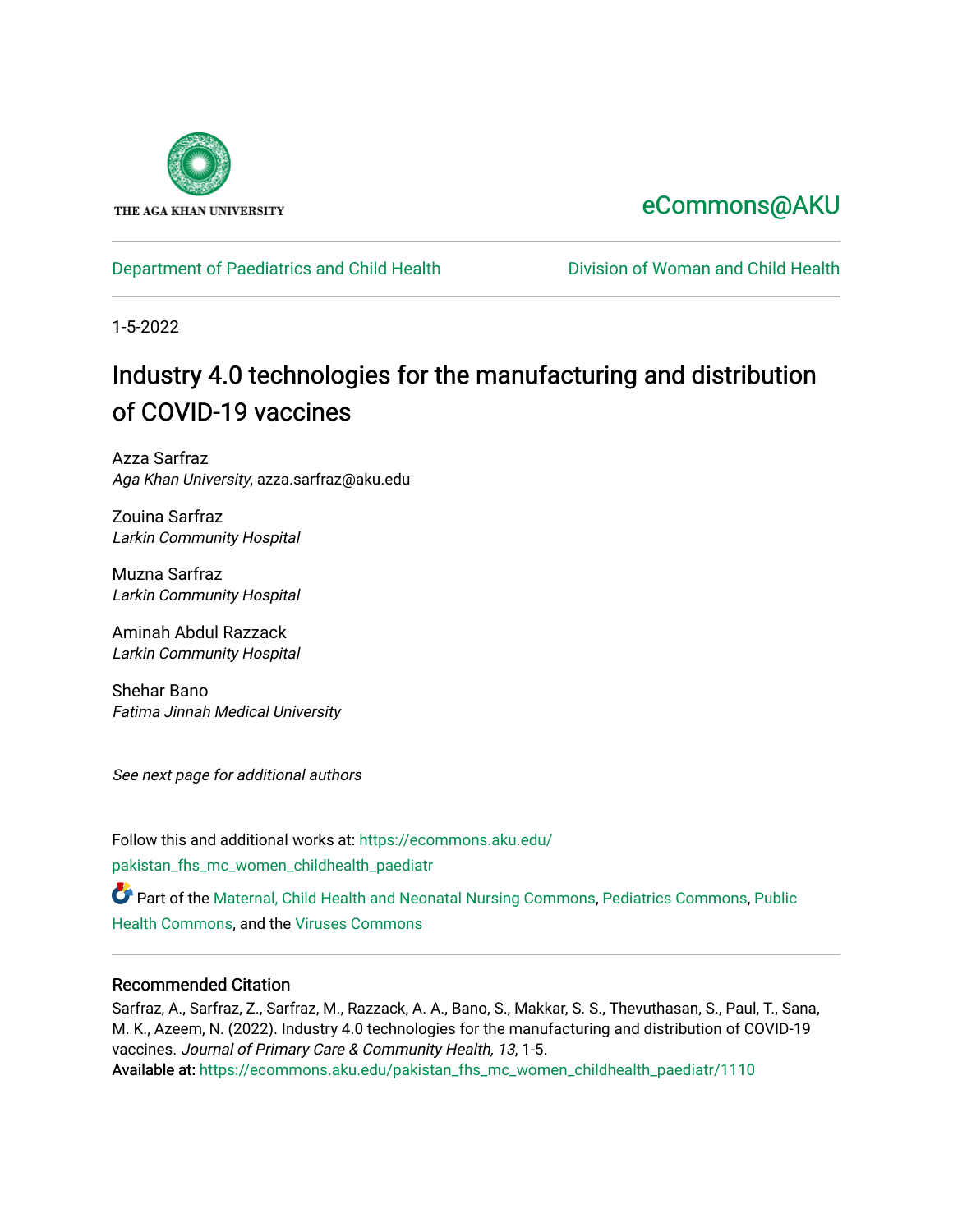

# [eCommons@AKU](https://ecommons.aku.edu/)

# [Department of Paediatrics and Child Health](https://ecommons.aku.edu/pakistan_fhs_mc_women_childhealth_paediatr) **Division of Woman and Child Health**

1-5-2022

# Industry 4.0 technologies for the manufacturing and distribution of COVID-19 vaccines

Azza Sarfraz Aga Khan University, azza.sarfraz@aku.edu

Zouina Sarfraz Larkin Community Hospital

Muzna Sarfraz Larkin Community Hospital

Aminah Abdul Razzack Larkin Community Hospital

Shehar Bano Fatima Jinnah Medical University

See next page for additional authors

Follow this and additional works at: [https://ecommons.aku.edu/](https://ecommons.aku.edu/pakistan_fhs_mc_women_childhealth_paediatr?utm_source=ecommons.aku.edu%2Fpakistan_fhs_mc_women_childhealth_paediatr%2F1110&utm_medium=PDF&utm_campaign=PDFCoverPages) [pakistan\\_fhs\\_mc\\_women\\_childhealth\\_paediatr](https://ecommons.aku.edu/pakistan_fhs_mc_women_childhealth_paediatr?utm_source=ecommons.aku.edu%2Fpakistan_fhs_mc_women_childhealth_paediatr%2F1110&utm_medium=PDF&utm_campaign=PDFCoverPages) 

Part of the [Maternal, Child Health and Neonatal Nursing Commons,](http://network.bepress.com/hgg/discipline/721?utm_source=ecommons.aku.edu%2Fpakistan_fhs_mc_women_childhealth_paediatr%2F1110&utm_medium=PDF&utm_campaign=PDFCoverPages) [Pediatrics Commons](http://network.bepress.com/hgg/discipline/700?utm_source=ecommons.aku.edu%2Fpakistan_fhs_mc_women_childhealth_paediatr%2F1110&utm_medium=PDF&utm_campaign=PDFCoverPages), [Public](http://network.bepress.com/hgg/discipline/738?utm_source=ecommons.aku.edu%2Fpakistan_fhs_mc_women_childhealth_paediatr%2F1110&utm_medium=PDF&utm_campaign=PDFCoverPages) [Health Commons,](http://network.bepress.com/hgg/discipline/738?utm_source=ecommons.aku.edu%2Fpakistan_fhs_mc_women_childhealth_paediatr%2F1110&utm_medium=PDF&utm_campaign=PDFCoverPages) and the [Viruses Commons](http://network.bepress.com/hgg/discipline/987?utm_source=ecommons.aku.edu%2Fpakistan_fhs_mc_women_childhealth_paediatr%2F1110&utm_medium=PDF&utm_campaign=PDFCoverPages) 

## Recommended Citation

Sarfraz, A., Sarfraz, Z., Sarfraz, M., Razzack, A. A., Bano, S., Makkar, S. S., Thevuthasan, S., Paul, T., Sana, M. K., Azeem, N. (2022). Industry 4.0 technologies for the manufacturing and distribution of COVID-19 vaccines. Journal of Primary Care & Community Health, 13, 1-5. Available at: [https://ecommons.aku.edu/pakistan\\_fhs\\_mc\\_women\\_childhealth\\_paediatr/1110](https://ecommons.aku.edu/pakistan_fhs_mc_women_childhealth_paediatr/1110)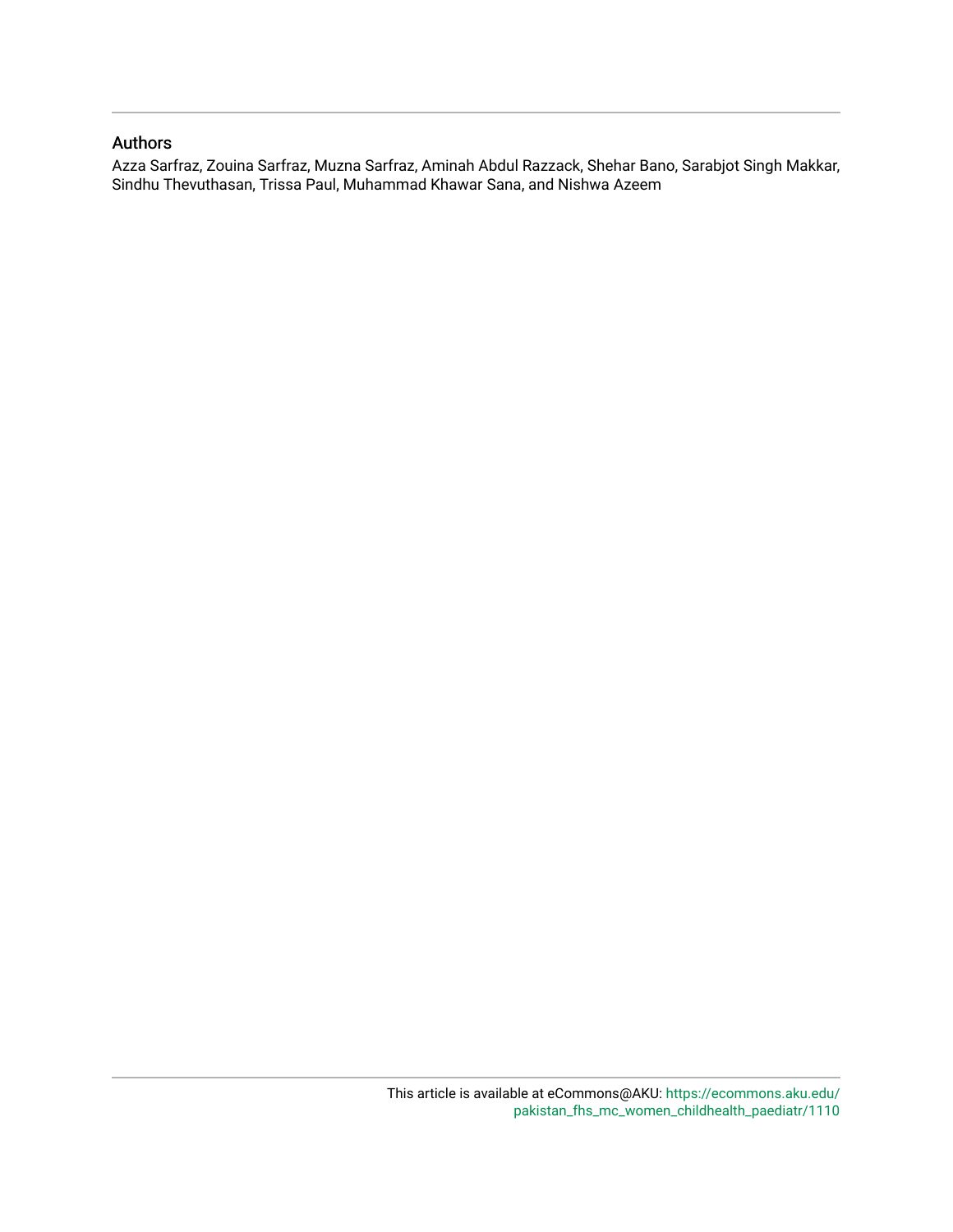## Authors

Azza Sarfraz, Zouina Sarfraz, Muzna Sarfraz, Aminah Abdul Razzack, Shehar Bano, Sarabjot Singh Makkar, Sindhu Thevuthasan, Trissa Paul, Muhammad Khawar Sana, and Nishwa Azeem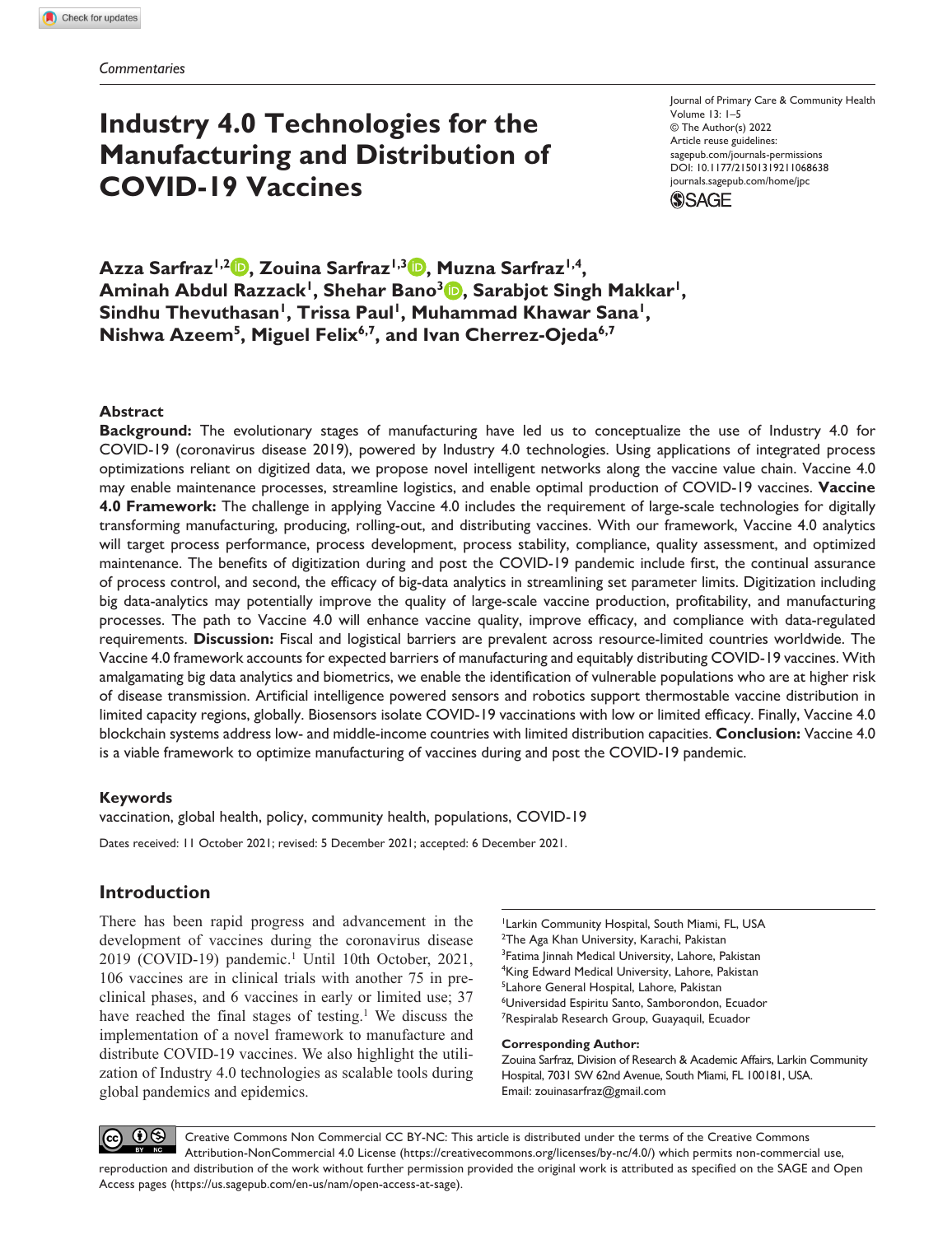# **Industry 4.0 Technologies for the Manufacturing and Distribution of COVID-19 Vaccines**

Journal of Primary Care & Community Health Volume 13: 1–5 © The Author(s) 2022 Article reuse guidelines: [sagepub.com/journals-permissions](https://us.sagepub.com/en-us/journals-permissions) https://doi.org/10.1177/21501319211068638 DOI: 10.1177/21501319211068638 [journals.sagepub.com/home/jpc](https://journals.sagepub.com/home/jpc) **SSAGE** 

**Azza Sarfraz1,2 , Zouina Sarfraz1,3 , Muzna Sarfraz1,4,**  Aminah Abdul Razzack<sup>1</sup>, Shehar Bano<sup>3</sup> **D**, Sarabjot Singh Makkar<sup>1</sup>, Sindhu Thevuthasan<sup>1</sup>, Trissa Paul<sup>1</sup>, Muhammad Khawar Sana<sup>1</sup>, **Nishwa Azeem5, Miguel Felix6,7, and Ivan Cherrez-Ojeda6,7**

#### **Abstract**

**Background:** The evolutionary stages of manufacturing have led us to conceptualize the use of Industry 4.0 for COVID-19 (coronavirus disease 2019), powered by Industry 4.0 technologies. Using applications of integrated process optimizations reliant on digitized data, we propose novel intelligent networks along the vaccine value chain. Vaccine 4.0 may enable maintenance processes, streamline logistics, and enable optimal production of COVID-19 vaccines. **Vaccine 4.0 Framework:** The challenge in applying Vaccine 4.0 includes the requirement of large-scale technologies for digitally transforming manufacturing, producing, rolling-out, and distributing vaccines. With our framework, Vaccine 4.0 analytics will target process performance, process development, process stability, compliance, quality assessment, and optimized maintenance. The benefits of digitization during and post the COVID-19 pandemic include first, the continual assurance of process control, and second, the efficacy of big-data analytics in streamlining set parameter limits. Digitization including big data-analytics may potentially improve the quality of large-scale vaccine production, profitability, and manufacturing processes. The path to Vaccine 4.0 will enhance vaccine quality, improve efficacy, and compliance with data-regulated requirements. **Discussion:** Fiscal and logistical barriers are prevalent across resource-limited countries worldwide. The Vaccine 4.0 framework accounts for expected barriers of manufacturing and equitably distributing COVID-19 vaccines. With amalgamating big data analytics and biometrics, we enable the identification of vulnerable populations who are at higher risk of disease transmission. Artificial intelligence powered sensors and robotics support thermostable vaccine distribution in limited capacity regions, globally. Biosensors isolate COVID-19 vaccinations with low or limited efficacy. Finally, Vaccine 4.0 blockchain systems address low- and middle-income countries with limited distribution capacities. **Conclusion:** Vaccine 4.0 is a viable framework to optimize manufacturing of vaccines during and post the COVID-19 pandemic.

### **Keywords**

vaccination, global health, policy, community health, populations, COVID-19 Dates received: 11 October 2021; revised: 5 December 2021; accepted: 6 December 2021.

### **Introduction**

There has been rapid progress and advancement in the development of vaccines during the coronavirus disease 2019 (COVID-19) pandemic.<sup>1</sup> Until 10th October, 2021, 106 vaccines are in clinical trials with another 75 in preclinical phases, and 6 vaccines in early or limited use; 37 have reached the final stages of testing.<sup>1</sup> We discuss the implementation of a novel framework to manufacture and distribute COVID-19 vaccines. We also highlight the utilization of Industry 4.0 technologies as scalable tools during global pandemics and epidemics.

<sup>1</sup> Larkin Community Hospital, South Miami, FL, USA <sup>2</sup>The Aga Khan University, Karachi, Pakistan <sup>3</sup>Fatima Jinnah Medical University, Lahore, Pakistan 4 King Edward Medical University, Lahore, Pakistan 5 Lahore General Hospital, Lahore, Pakistan 6 Universidad Espiritu Santo, Samborondon, Ecuador <sup>7</sup>Respiralab Research Group, Guayaquil, Ecuador

#### **Corresponding Author:**

Zouina Sarfraz, Division of Research & Academic Affairs, Larkin Community Hospital, 7031 SW 62nd Avenue, South Miami, FL 100181, USA. Email: [zouinasarfraz@gmail.com](mailto:zouinasarfraz@gmail.com)

 $\Theta$ Creative Commons Non Commercial CC BY-NC: This article is distributed under the terms of the Creative Commons Attribution-NonCommercial 4.0 License (https://creativecommons.org/licenses/by-nc/4.0/) which permits non-commercial use, reproduction and distribution of the work without further permission provided the original work is attributed as specified on the SAGE and Open Access pages (https://us.sagepub.com/en-us/nam/open-access-at-sage).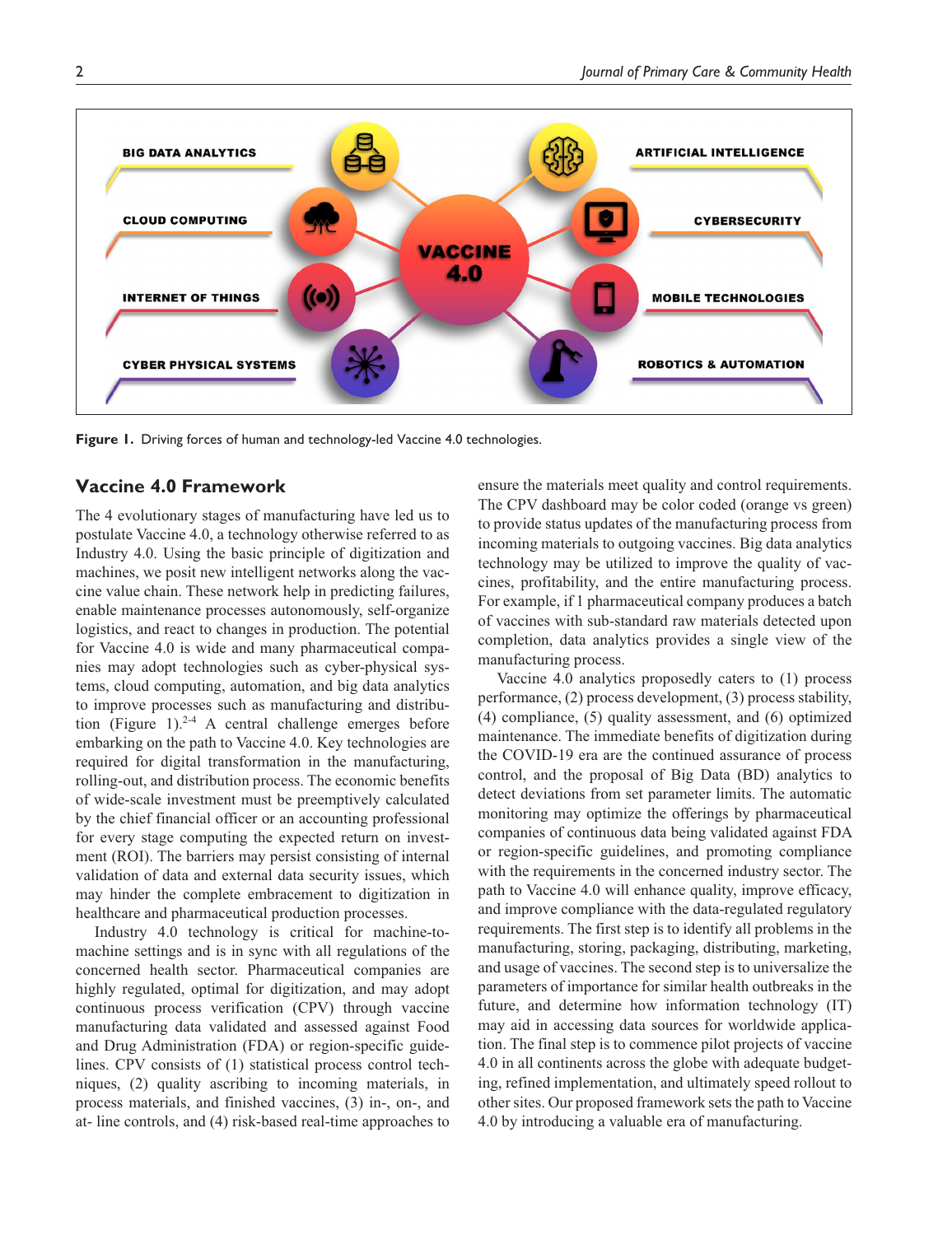

**Figure 1.** Driving forces of human and technology-led Vaccine 4.0 technologies.

## **Vaccine 4.0 Framework**

The 4 evolutionary stages of manufacturing have led us to postulate Vaccine 4.0, a technology otherwise referred to as Industry 4.0. Using the basic principle of digitization and machines, we posit new intelligent networks along the vaccine value chain. These network help in predicting failures, enable maintenance processes autonomously, self-organize logistics, and react to changes in production. The potential for Vaccine 4.0 is wide and many pharmaceutical companies may adopt technologies such as cyber-physical systems, cloud computing, automation, and big data analytics to improve processes such as manufacturing and distribution (Figure 1).<sup>2-4</sup> A central challenge emerges before embarking on the path to Vaccine 4.0. Key technologies are required for digital transformation in the manufacturing, rolling-out, and distribution process. The economic benefits of wide-scale investment must be preemptively calculated by the chief financial officer or an accounting professional for every stage computing the expected return on investment (ROI). The barriers may persist consisting of internal validation of data and external data security issues, which may hinder the complete embracement to digitization in healthcare and pharmaceutical production processes.

Industry 4.0 technology is critical for machine-tomachine settings and is in sync with all regulations of the concerned health sector. Pharmaceutical companies are highly regulated, optimal for digitization, and may adopt continuous process verification (CPV) through vaccine manufacturing data validated and assessed against Food and Drug Administration (FDA) or region-specific guidelines. CPV consists of (1) statistical process control techniques, (2) quality ascribing to incoming materials, in process materials, and finished vaccines, (3) in-, on-, and at- line controls, and (4) risk-based real-time approaches to ensure the materials meet quality and control requirements. The CPV dashboard may be color coded (orange vs green) to provide status updates of the manufacturing process from incoming materials to outgoing vaccines. Big data analytics technology may be utilized to improve the quality of vaccines, profitability, and the entire manufacturing process. For example, if 1 pharmaceutical company produces a batch of vaccines with sub-standard raw materials detected upon completion, data analytics provides a single view of the manufacturing process.

Vaccine 4.0 analytics proposedly caters to (1) process performance, (2) process development, (3) process stability, (4) compliance, (5) quality assessment, and (6) optimized maintenance. The immediate benefits of digitization during the COVID-19 era are the continued assurance of process control, and the proposal of Big Data (BD) analytics to detect deviations from set parameter limits. The automatic monitoring may optimize the offerings by pharmaceutical companies of continuous data being validated against FDA or region-specific guidelines, and promoting compliance with the requirements in the concerned industry sector. The path to Vaccine 4.0 will enhance quality, improve efficacy, and improve compliance with the data-regulated regulatory requirements. The first step is to identify all problems in the manufacturing, storing, packaging, distributing, marketing, and usage of vaccines. The second step is to universalize the parameters of importance for similar health outbreaks in the future, and determine how information technology (IT) may aid in accessing data sources for worldwide application. The final step is to commence pilot projects of vaccine 4.0 in all continents across the globe with adequate budgeting, refined implementation, and ultimately speed rollout to other sites. Our proposed framework sets the path to Vaccine 4.0 by introducing a valuable era of manufacturing.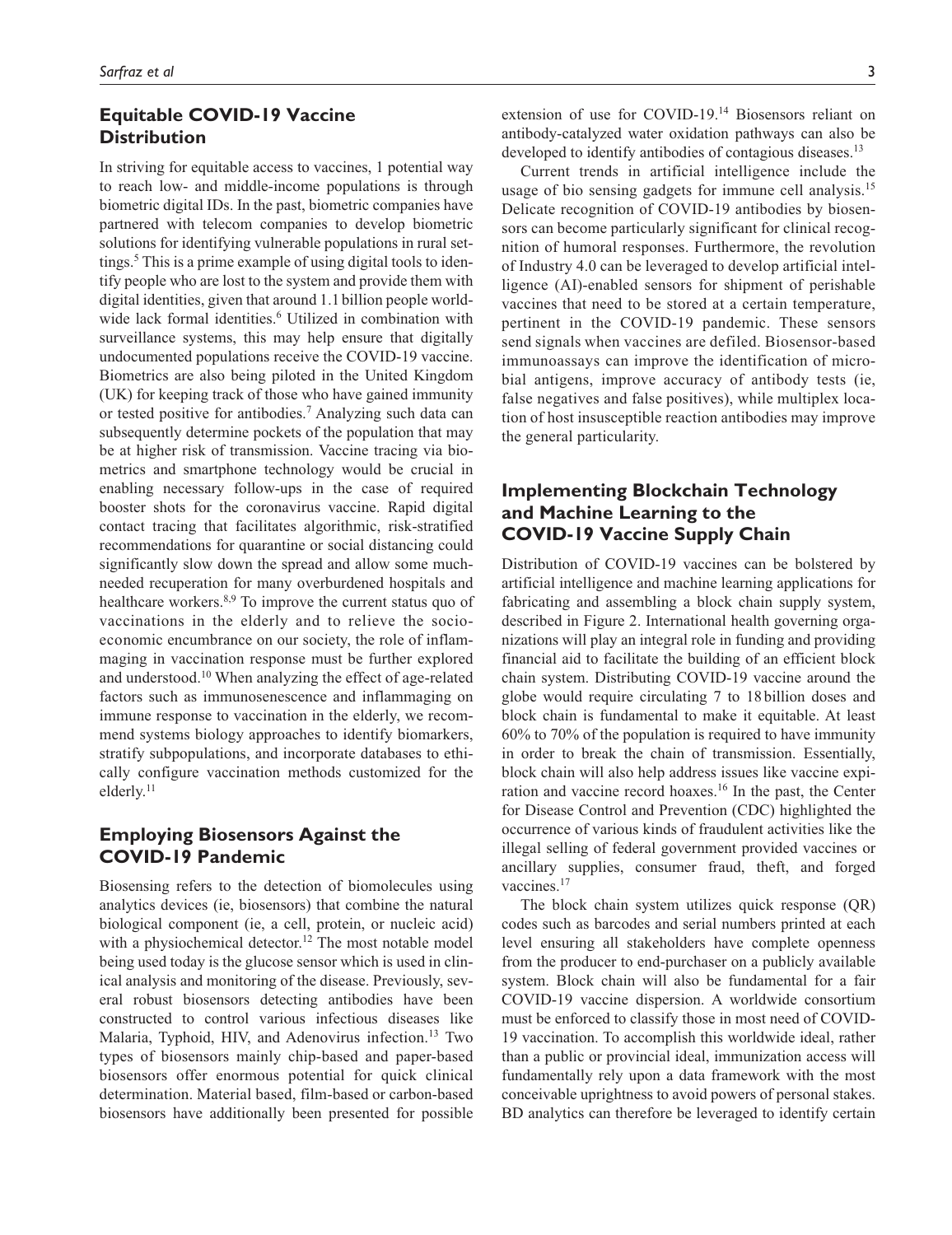## **Equitable COVID-19 Vaccine Distribution**

In striving for equitable access to vaccines, 1 potential way to reach low- and middle-income populations is through biometric digital IDs. In the past, biometric companies have partnered with telecom companies to develop biometric solutions for identifying vulnerable populations in rural settings.<sup>5</sup> This is a prime example of using digital tools to identify people who are lost to the system and provide them with digital identities, given that around 1.1 billion people worldwide lack formal identities.<sup>6</sup> Utilized in combination with surveillance systems, this may help ensure that digitally undocumented populations receive the COVID-19 vaccine. Biometrics are also being piloted in the United Kingdom (UK) for keeping track of those who have gained immunity or tested positive for antibodies.<sup>7</sup> Analyzing such data can subsequently determine pockets of the population that may be at higher risk of transmission. Vaccine tracing via biometrics and smartphone technology would be crucial in enabling necessary follow-ups in the case of required booster shots for the coronavirus vaccine. Rapid digital contact tracing that facilitates algorithmic, risk-stratified recommendations for quarantine or social distancing could significantly slow down the spread and allow some muchneeded recuperation for many overburdened hospitals and healthcare workers.<sup>8,9</sup> To improve the current status quo of vaccinations in the elderly and to relieve the socioeconomic encumbrance on our society, the role of inflammaging in vaccination response must be further explored and understood.10 When analyzing the effect of age-related factors such as immunosenescence and inflammaging on immune response to vaccination in the elderly, we recommend systems biology approaches to identify biomarkers, stratify subpopulations, and incorporate databases to ethically configure vaccination methods customized for the elderly.<sup>11</sup>

## **Employing Biosensors Against the COVID-19 Pandemic**

Biosensing refers to the detection of biomolecules using analytics devices (ie, biosensors) that combine the natural biological component (ie, a cell, protein, or nucleic acid) with a physiochemical detector.<sup>12</sup> The most notable model being used today is the glucose sensor which is used in clinical analysis and monitoring of the disease. Previously, several robust biosensors detecting antibodies have been constructed to control various infectious diseases like Malaria, Typhoid, HIV, and Adenovirus infection.13 Two types of biosensors mainly chip-based and paper-based biosensors offer enormous potential for quick clinical determination. Material based, film-based or carbon-based biosensors have additionally been presented for possible extension of use for COVID-19.14 Biosensors reliant on antibody-catalyzed water oxidation pathways can also be developed to identify antibodies of contagious diseases.<sup>13</sup>

Current trends in artificial intelligence include the usage of bio sensing gadgets for immune cell analysis.<sup>15</sup> Delicate recognition of COVID-19 antibodies by biosensors can become particularly significant for clinical recognition of humoral responses. Furthermore, the revolution of Industry 4.0 can be leveraged to develop artificial intelligence (AI)-enabled sensors for shipment of perishable vaccines that need to be stored at a certain temperature, pertinent in the COVID-19 pandemic. These sensors send signals when vaccines are defiled. Biosensor-based immunoassays can improve the identification of microbial antigens, improve accuracy of antibody tests (ie, false negatives and false positives), while multiplex location of host insusceptible reaction antibodies may improve the general particularity.

## **Implementing Blockchain Technology and Machine Learning to the COVID-19 Vaccine Supply Chain**

Distribution of COVID-19 vaccines can be bolstered by artificial intelligence and machine learning applications for fabricating and assembling a block chain supply system, described in Figure 2. International health governing organizations will play an integral role in funding and providing financial aid to facilitate the building of an efficient block chain system. Distributing COVID-19 vaccine around the globe would require circulating 7 to 18 billion doses and block chain is fundamental to make it equitable. At least 60% to 70% of the population is required to have immunity in order to break the chain of transmission. Essentially, block chain will also help address issues like vaccine expiration and vaccine record hoaxes.16 In the past, the Center for Disease Control and Prevention (CDC) highlighted the occurrence of various kinds of fraudulent activities like the illegal selling of federal government provided vaccines or ancillary supplies, consumer fraud, theft, and forged vaccines.<sup>17</sup>

The block chain system utilizes quick response (QR) codes such as barcodes and serial numbers printed at each level ensuring all stakeholders have complete openness from the producer to end-purchaser on a publicly available system. Block chain will also be fundamental for a fair COVID-19 vaccine dispersion. A worldwide consortium must be enforced to classify those in most need of COVID-19 vaccination. To accomplish this worldwide ideal, rather than a public or provincial ideal, immunization access will fundamentally rely upon a data framework with the most conceivable uprightness to avoid powers of personal stakes. BD analytics can therefore be leveraged to identify certain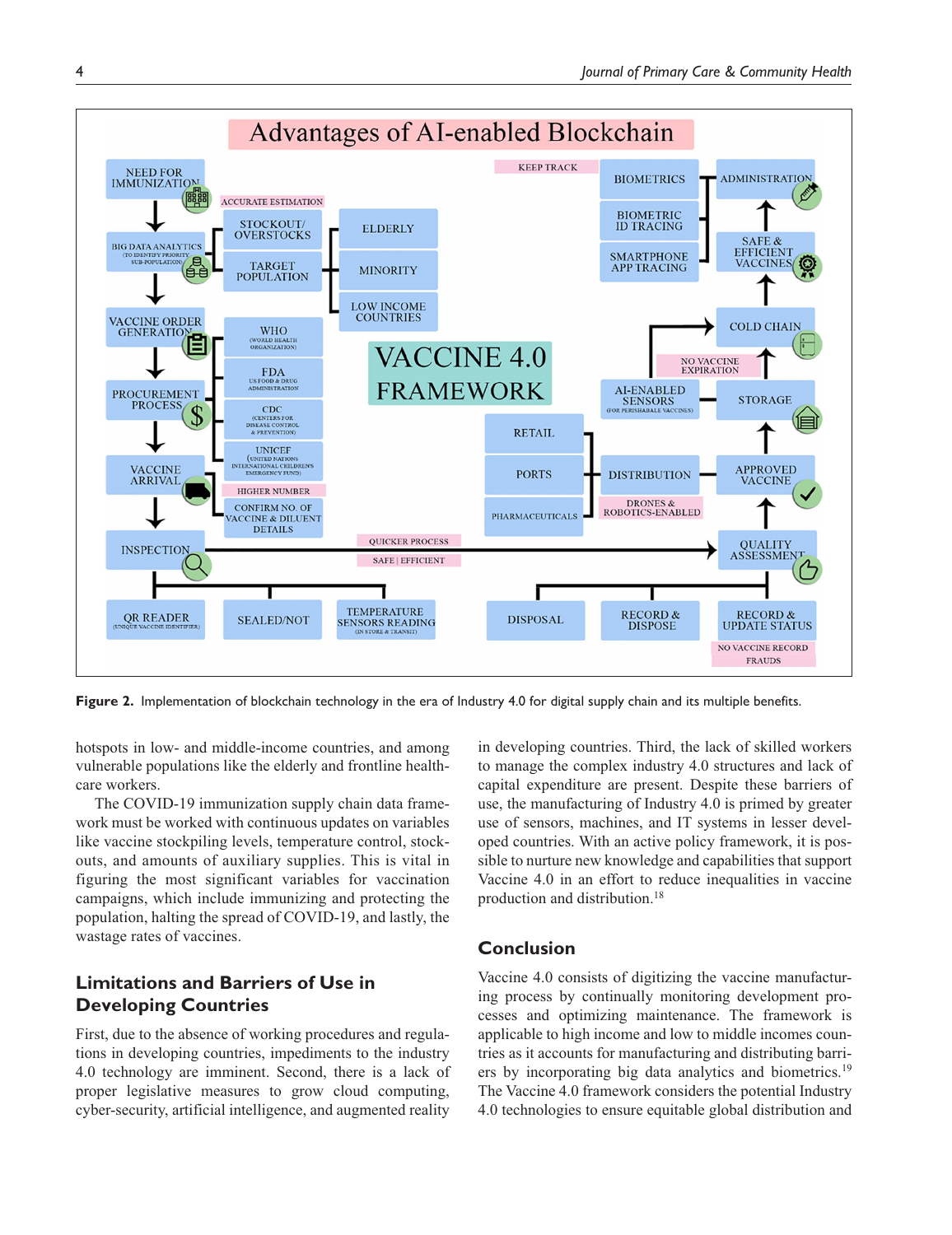

**Figure 2.** Implementation of blockchain technology in the era of Industry 4.0 for digital supply chain and its multiple benefits.

hotspots in low- and middle-income countries, and among vulnerable populations like the elderly and frontline healthcare workers.

The COVID-19 immunization supply chain data framework must be worked with continuous updates on variables like vaccine stockpiling levels, temperature control, stockouts, and amounts of auxiliary supplies. This is vital in figuring the most significant variables for vaccination campaigns, which include immunizing and protecting the population, halting the spread of COVID-19, and lastly, the wastage rates of vaccines.

## **Limitations and Barriers of Use in Developing Countries**

First, due to the absence of working procedures and regulations in developing countries, impediments to the industry 4.0 technology are imminent. Second, there is a lack of proper legislative measures to grow cloud computing, cyber-security, artificial intelligence, and augmented reality

in developing countries. Third, the lack of skilled workers to manage the complex industry 4.0 structures and lack of capital expenditure are present. Despite these barriers of use, the manufacturing of Industry 4.0 is primed by greater use of sensors, machines, and IT systems in lesser developed countries. With an active policy framework, it is possible to nurture new knowledge and capabilities that support Vaccine 4.0 in an effort to reduce inequalities in vaccine production and distribution.18

## **Conclusion**

Vaccine 4.0 consists of digitizing the vaccine manufacturing process by continually monitoring development processes and optimizing maintenance. The framework is applicable to high income and low to middle incomes countries as it accounts for manufacturing and distributing barriers by incorporating big data analytics and biometrics.<sup>19</sup> The Vaccine 4.0 framework considers the potential Industry 4.0 technologies to ensure equitable global distribution and